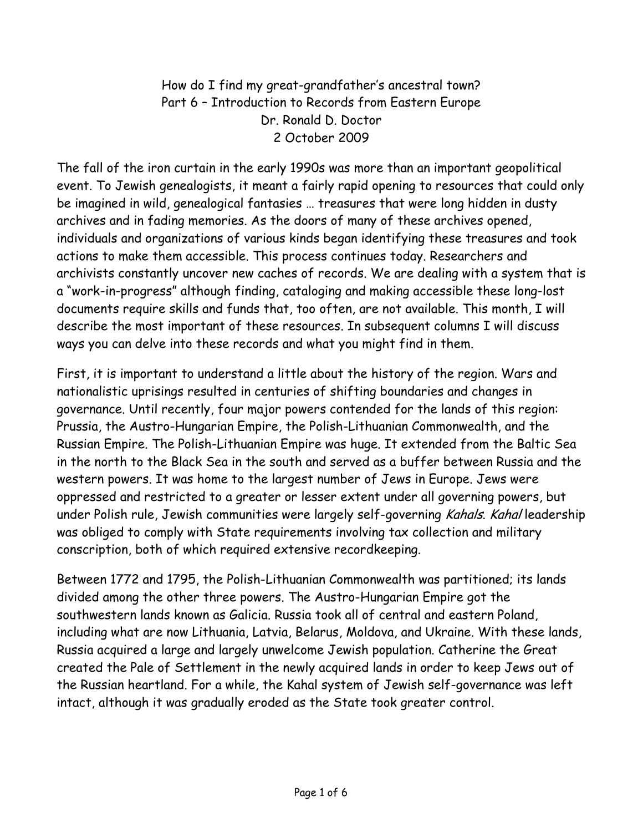How do I find my great-grandfather's ancestral town? Part 6 – Introduction to Records from Eastern Europe Dr. Ronald D. Doctor 2 October 2009

The fall of the iron curtain in the early 1990s was more than an important geopolitical event. To Jewish genealogists, it meant a fairly rapid opening to resources that could only be imagined in wild, genealogical fantasies … treasures that were long hidden in dusty archives and in fading memories. As the doors of many of these archives opened, individuals and organizations of various kinds began identifying these treasures and took actions to make them accessible. This process continues today. Researchers and archivists constantly uncover new caches of records. We are dealing with a system that is a "work-in-progress" although finding, cataloging and making accessible these long-lost documents require skills and funds that, too often, are not available. This month, I will describe the most important of these resources. In subsequent columns I will discuss ways you can delve into these records and what you might find in them.

First, it is important to understand a little about the history of the region. Wars and nationalistic uprisings resulted in centuries of shifting boundaries and changes in governance. Until recently, four major powers contended for the lands of this region: Prussia, the Austro-Hungarian Empire, the Polish-Lithuanian Commonwealth, and the Russian Empire. The Polish-Lithuanian Empire was huge. It extended from the Baltic Sea in the north to the Black Sea in the south and served as a buffer between Russia and the western powers. It was home to the largest number of Jews in Europe. Jews were oppressed and restricted to a greater or lesser extent under all governing powers, but under Polish rule, Jewish communities were largely self-governing Kahals. Kahal leadership was obliged to comply with State requirements involving tax collection and military conscription, both of which required extensive recordkeeping.

Between 1772 and 1795, the Polish-Lithuanian Commonwealth was partitioned; its lands divided among the other three powers. The Austro-Hungarian Empire got the southwestern lands known as Galicia. Russia took all of central and eastern Poland, including what are now Lithuania, Latvia, Belarus, Moldova, and Ukraine. With these lands, Russia acquired a large and largely unwelcome Jewish population. Catherine the Great created the Pale of Settlement in the newly acquired lands in order to keep Jews out of the Russian heartland. For a while, the Kahal system of Jewish self-governance was left intact, although it was gradually eroded as the State took greater control.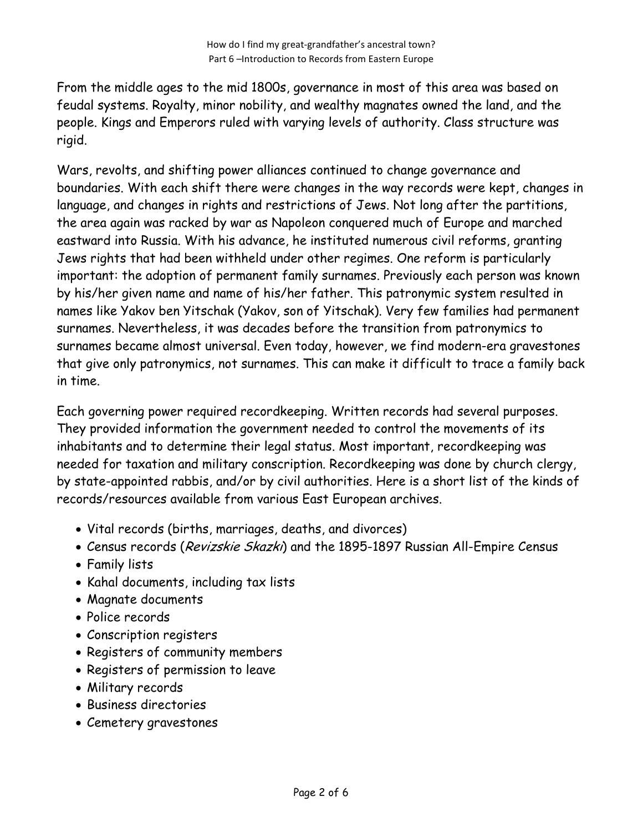From the middle ages to the mid 1800s, governance in most of this area was based on feudal systems. Royalty, minor nobility, and wealthy magnates owned the land, and the people. Kings and Emperors ruled with varying levels of authority. Class structure was rigid.

Wars, revolts, and shifting power alliances continued to change governance and boundaries. With each shift there were changes in the way records were kept, changes in language, and changes in rights and restrictions of Jews. Not long after the partitions, the area again was racked by war as Napoleon conquered much of Europe and marched eastward into Russia. With his advance, he instituted numerous civil reforms, granting Jews rights that had been withheld under other regimes. One reform is particularly important: the adoption of permanent family surnames. Previously each person was known by his/her given name and name of his/her father. This patronymic system resulted in names like Yakov ben Yitschak (Yakov, son of Yitschak). Very few families had permanent surnames. Nevertheless, it was decades before the transition from patronymics to surnames became almost universal. Even today, however, we find modern-era gravestones that give only patronymics, not surnames. This can make it difficult to trace a family back in time.

Each governing power required recordkeeping. Written records had several purposes. They provided information the government needed to control the movements of its inhabitants and to determine their legal status. Most important, recordkeeping was needed for taxation and military conscription. Recordkeeping was done by church clergy, by state-appointed rabbis, and/or by civil authorities. Here is a short list of the kinds of records/resources available from various East European archives.

- Vital records (births, marriages, deaths, and divorces)
- Census records (Revizskie Skazki) and the 1895-1897 Russian All-Empire Census
- Family lists
- Kahal documents, including tax lists
- Magnate documents
- Police records
- Conscription registers
- Registers of community members
- Registers of permission to leave
- Military records
- Business directories
- Cemetery gravestones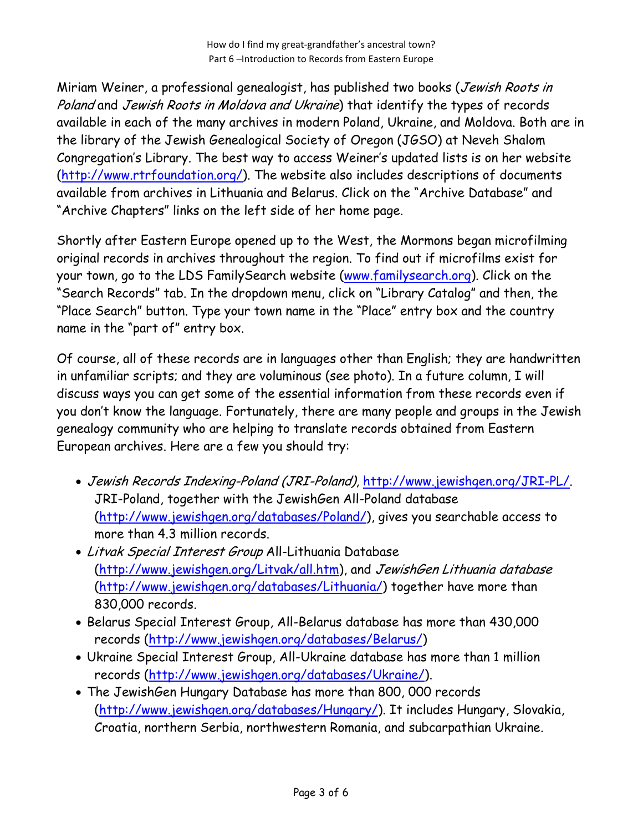How do I find my great-grandfather's ancestral town? Part 6 –Introduction to Records from Eastern Europe

Miriam Weiner, a professional genealogist, has published two books (Jewish Roots in Poland and Jewish Roots in Moldova and Ukraine) that identify the types of records available in each of the many archives in modern Poland, Ukraine, and Moldova. Both are in the library of the Jewish Genealogical Society of Oregon (JGSO) at Neveh Shalom Congregation's Library. The best way to access Weiner's updated lists is on her website (http://www.rtrfoundation.org/). The website also includes descriptions of documents available from archives in Lithuania and Belarus. Click on the "Archive Database" and "Archive Chapters" links on the left side of her home page.

Shortly after Eastern Europe opened up to the West, the Mormons began microfilming original records in archives throughout the region. To find out if microfilms exist for your town, go to the LDS FamilySearch website (www.familysearch.org). Click on the "Search Records" tab. In the dropdown menu, click on "Library Catalog" and then, the "Place Search" button. Type your town name in the "Place" entry box and the country name in the "part of" entry box.

Of course, all of these records are in languages other than English; they are handwritten in unfamiliar scripts; and they are voluminous (see photo). In a future column, I will discuss ways you can get some of the essential information from these records even if you don't know the language. Fortunately, there are many people and groups in the Jewish genealogy community who are helping to translate records obtained from Eastern European archives. Here are a few you should try:

- Jewish Records Indexing-Poland (JRI-Poland), http://www.jewishgen.org/JRI-PL/. JRI-Poland, together with the JewishGen All-Poland database (http://www.jewishgen.org/databases/Poland/), gives you searchable access to more than 4.3 million records.
- Litvak Special Interest Group All-Lithuania Database (http://www.jewishgen.org/Litvak/all.htm), and JewishGen Lithuania database (http://www.jewishgen.org/databases/Lithuania/) together have more than 830,000 records.
- Belarus Special Interest Group, All-Belarus database has more than 430,000 records (http://www.jewishgen.org/databases/Belarus/)
- Ukraine Special Interest Group, All-Ukraine database has more than 1 million records (http://www.jewishgen.org/databases/Ukraine/).
- The JewishGen Hungary Database has more than 800, 000 records (http://www.jewishgen.org/databases/Hungary/). It includes Hungary, Slovakia, Croatia, northern Serbia, northwestern Romania, and subcarpathian Ukraine.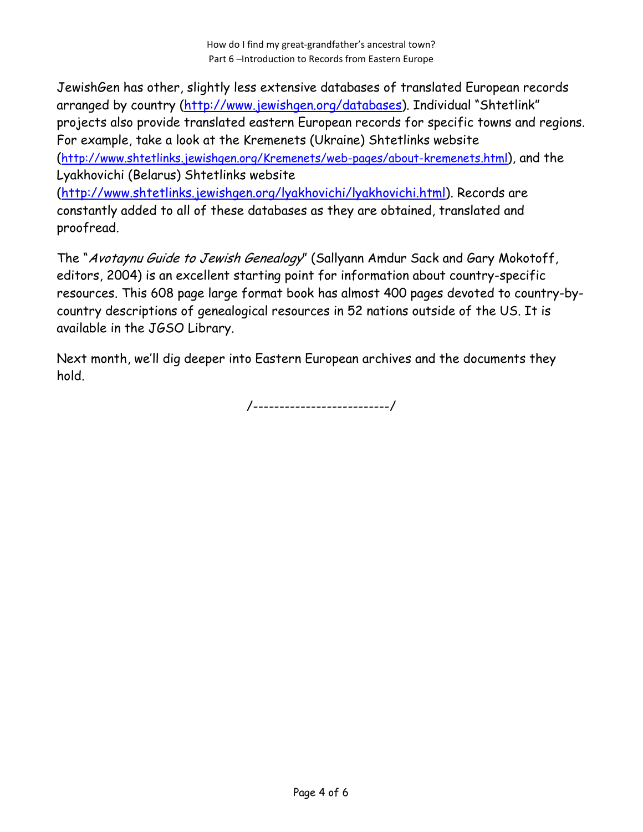How do I find my great-grandfather's ancestral town? Part 6 –Introduction to Records from Eastern Europe

JewishGen has other, slightly less extensive databases of translated European records arranged by country (http://www.jewishgen.org/databases). Individual "Shtetlink" projects also provide translated eastern European records for specific towns and regions. For example, take a look at the Kremenets (Ukraine) Shtetlinks website (http://www.shtetlinks.jewishgen.org/Kremenets/web-pages/about-kremenets.html), and the Lyakhovichi (Belarus) Shtetlinks website (http://www.shtetlinks.jewishgen.org/lyakhovichi/lyakhovichi.html). Records are constantly added to all of these databases as they are obtained, translated and proofread.

The "Avotaynu Guide to Jewish Genealogy" (Sallyann Amdur Sack and Gary Mokotoff, editors, 2004) is an excellent starting point for information about country-specific resources. This 608 page large format book has almost 400 pages devoted to country-bycountry descriptions of genealogical resources in 52 nations outside of the US. It is available in the JGSO Library.

Next month, we'll dig deeper into Eastern European archives and the documents they hold.

/--------------------------/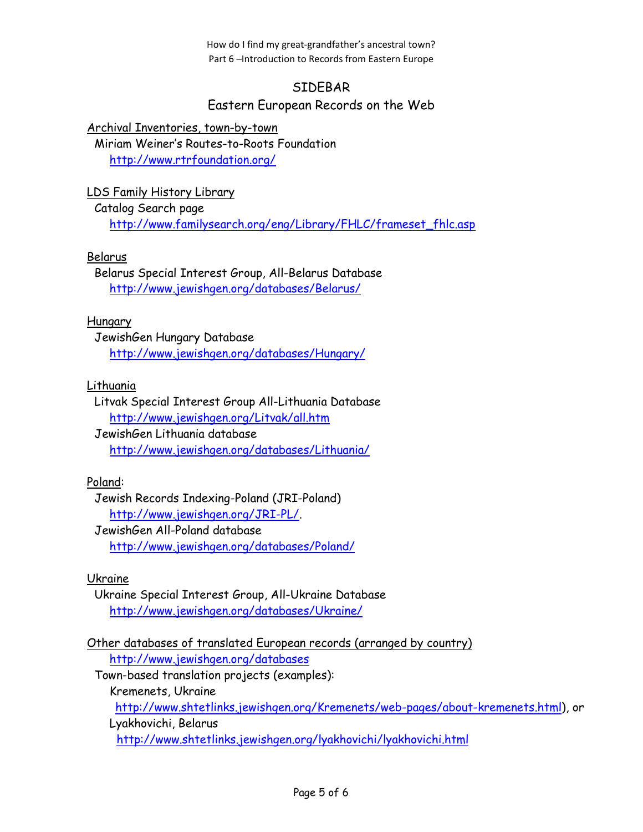How do I find my great-grandfather's ancestral town? Part 6 –Introduction to Records from Eastern Europe

# SIDEBAR

## Eastern European Records on the Web

Archival Inventories, town-by-town

Miriam Weiner's Routes-to-Roots Foundation http://www.rtrfoundation.org/

LDS Family History Library

Catalog Search page http://www.familysearch.org/eng/Library/FHLC/frameset\_fhlc.asp

## Belarus

Belarus Special Interest Group, All-Belarus Database http://www.jewishgen.org/databases/Belarus/

#### Hungary

JewishGen Hungary Database http://www.jewishgen.org/databases/Hungary/

## Lithuania

#### Litvak Special Interest Group All-Lithuania Database http://www.jewishgen.org/Litvak/all.htm

JewishGen Lithuania database http://www.jewishgen.org/databases/Lithuania/

## Poland:

Jewish Records Indexing-Poland (JRI-Poland) http://www.jewishgen.org/JRI-PL/.

JewishGen All-Poland database http://www.jewishgen.org/databases/Poland/

#### Ukraine

Ukraine Special Interest Group, All-Ukraine Database http://www.jewishgen.org/databases/Ukraine/

Other databases of translated European records (arranged by country) http://www.jewishgen.org/databases

Town-based translation projects (examples):

Kremenets, Ukraine

http://www.shtetlinks.jewishgen.org/Kremenets/web-pages/about-kremenets.html), or

Lyakhovichi, Belarus

http://www.shtetlinks.jewishgen.org/lyakhovichi/lyakhovichi.html